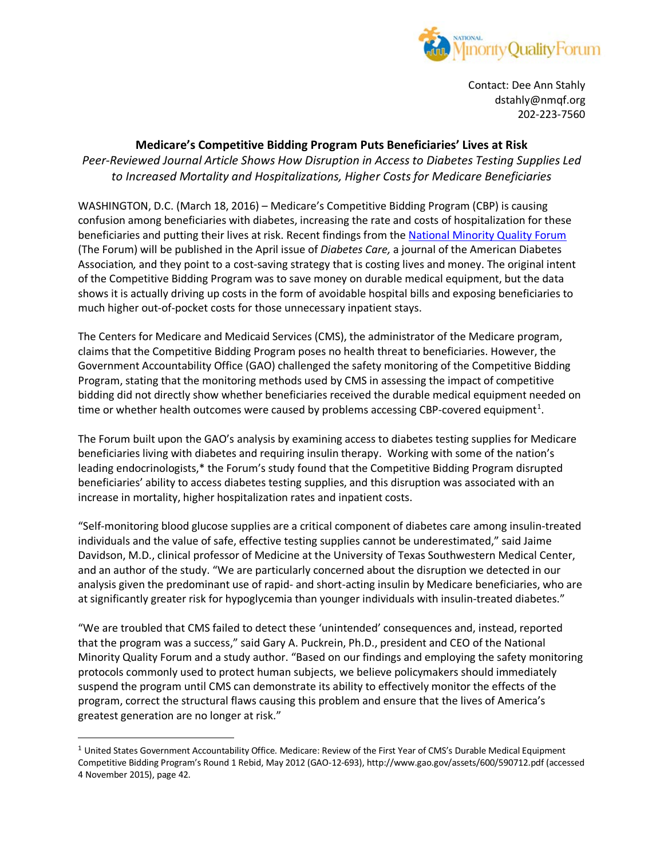

Contact: Dee Ann Stahly dstahly@nmqf.org 202-223-7560

## **Medicare's Competitive Bidding Program Puts Beneficiaries' Lives at Risk**

*Peer-Reviewed Journal Article Shows How Disruption in Access to Diabetes Testing Supplies Led to Increased Mortality and Hospitalizations, Higher Costs for Medicare Beneficiaries*

WASHINGTON, D.C. (March 18, 2016) – Medicare's Competitive Bidding Program (CBP) is causing confusion among beneficiaries with diabetes, increasing the rate and costs of hospitalization for these beneficiaries and putting their lives at risk. Recent findings from the [National Minority](http://www.nmqf.org/) Quality Forum (The Forum) will be published in the April issue of *Diabetes Care,* a journal of the American Diabetes Association*,* and they point to a cost-saving strategy that is costing lives and money. The original intent of the Competitive Bidding Program was to save money on durable medical equipment, but the data shows it is actually driving up costs in the form of avoidable hospital bills and exposing beneficiaries to much higher out-of-pocket costs for those unnecessary inpatient stays.

The Centers for Medicare and Medicaid Services (CMS), the administrator of the Medicare program, claims that the Competitive Bidding Program poses no health threat to beneficiaries. However, the Government Accountability Office (GAO) challenged the safety monitoring of the Competitive Bidding Program, stating that the monitoring methods used by CMS in assessing the impact of competitive bidding did not directly show whether beneficiaries received the durable medical equipment needed on time or whether health outcomes were caused by problems accessing CBP-covered equipment<sup>[1](#page-0-0)</sup>.

The Forum built upon the GAO's analysis by examining access to diabetes testing supplies for Medicare beneficiaries living with diabetes and requiring insulin therapy. Working with some of the nation's leading endocrinologists,\* the Forum's study found that the Competitive Bidding Program disrupted beneficiaries' ability to access diabetes testing supplies, and this disruption was associated with an increase in mortality, higher hospitalization rates and inpatient costs.

"Self-monitoring blood glucose supplies are a critical component of diabetes care among insulin-treated individuals and the value of safe, effective testing supplies cannot be underestimated," said Jaime Davidson, M.D., clinical professor of Medicine at the University of Texas Southwestern Medical Center, and an author of the study. "We are particularly concerned about the disruption we detected in our analysis given the predominant use of rapid- and short-acting insulin by Medicare beneficiaries, who are at significantly greater risk for hypoglycemia than younger individuals with insulin-treated diabetes."

"We are troubled that CMS failed to detect these 'unintended' consequences and, instead, reported that the program was a success," said Gary A. Puckrein, Ph.D., president and CEO of the National Minority Quality Forum and a study author. "Based on our findings and employing the safety monitoring protocols commonly used to protect human subjects, we believe policymakers should immediately suspend the program until CMS can demonstrate its ability to effectively monitor the effects of the program, correct the structural flaws causing this problem and ensure that the lives of America's greatest generation are no longer at risk."

<span id="page-0-0"></span> $1$  United States Government Accountability Office. Medicare: Review of the First Year of CMS's Durable Medical Equipment Competitive Bidding Program's Round 1 Rebid, May 2012 (GAO-12-693), http://www.gao.gov/assets/600/590712.pdf (accessed 4 November 2015), page 42.